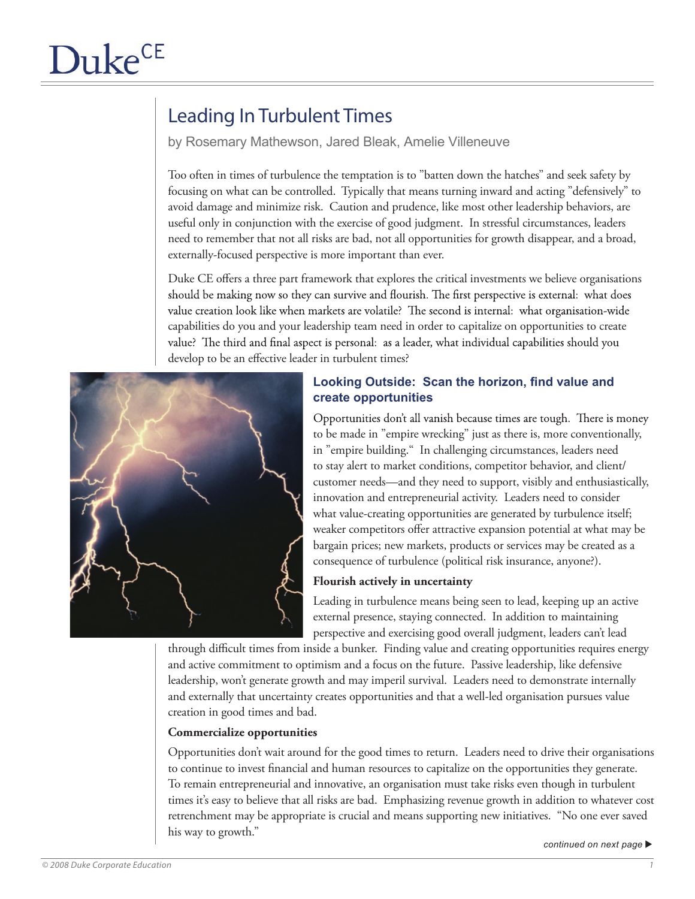# Leading In Turbulent Times

by Rosemary Mathewson, Jared Bleak, Amelie Villeneuve

Too often in times of turbulence the temptation is to "batten down the hatches" and seek safety by focusing on what can be controlled. Typically that means turning inward and acting "defensively" to avoid damage and minimize risk. Caution and prudence, like most other leadership behaviors, are useful only in conjunction with the exercise of good judgment. In stressful circumstances, leaders need to remember that not all risks are bad, not all opportunities for growth disappear, and a broad, externally-focused perspective is more important than ever.

Duke CE offers a three part framework that explores the critical investments we believe organisations should be making now so they can survive and flourish. The first perspective is external: what does value creation look like when markets are volatile? The second is internal: what organisation-wide capabilities do you and your leadership team need in order to capitalize on opportunities to create value? The third and final aspect is personal: as a leader, what individual capabilities should you develop to be an effective leader in turbulent times?



# **Looking Outside: Scan the horizon, find value and create opportunities**

Opportunities don't all vanish because times are tough. There is money to be made in "empire wrecking" just as there is, more conventionally, in "empire building." In challenging circumstances, leaders need to stay alert to market conditions, competitor behavior, and client/ customer needs—and they need to support, visibly and enthusiastically, innovation and entrepreneurial activity. Leaders need to consider what value-creating opportunities are generated by turbulence itself; weaker competitors offer attractive expansion potential at what may be bargain prices; new markets, products or services may be created as a consequence of turbulence (political risk insurance, anyone?).

# **Flourish actively in uncertainty**

Leading in turbulence means being seen to lead, keeping up an active external presence, staying connected. In addition to maintaining perspective and exercising good overall judgment, leaders can't lead

through difficult times from inside a bunker. Finding value and creating opportunities requires energy and active commitment to optimism and a focus on the future. Passive leadership, like defensive leadership, won't generate growth and may imperil survival. Leaders need to demonstrate internally and externally that uncertainty creates opportunities and that a well-led organisation pursues value creation in good times and bad.

#### **Commercialize opportunities**

Opportunities don't wait around for the good times to return. Leaders need to drive their organisations to continue to invest financial and human resources to capitalize on the opportunities they generate. To remain entrepreneurial and innovative, an organisation must take risks even though in turbulent times it's easy to believe that all risks are bad. Emphasizing revenue growth in addition to whatever cost retrenchment may be appropriate is crucial and means supporting new initiatives. "No one ever saved his way to growth."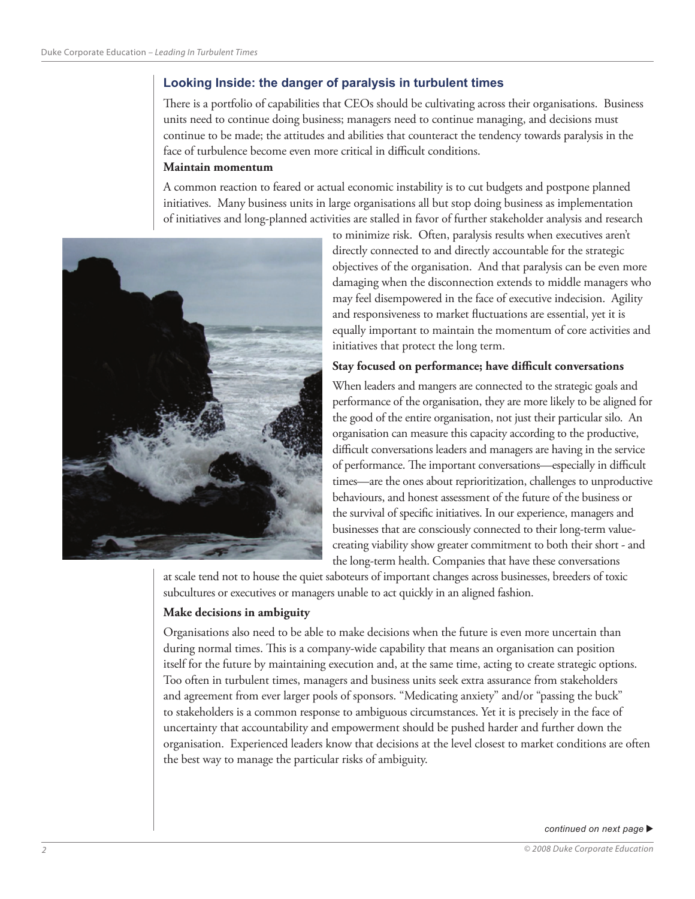# **Looking Inside: the danger of paralysis in turbulent times**

There is a portfolio of capabilities that CEOs should be cultivating across their organisations. Business units need to continue doing business; managers need to continue managing, and decisions must continue to be made; the attitudes and abilities that counteract the tendency towards paralysis in the face of turbulence become even more critical in difficult conditions.

#### **Maintain momentum**

A common reaction to feared or actual economic instability is to cut budgets and postpone planned initiatives. Many business units in large organisations all but stop doing business as implementation of initiatives and long-planned activities are stalled in favor of further stakeholder analysis and research



to minimize risk. Often, paralysis results when executives aren't directly connected to and directly accountable for the strategic objectives of the organisation. And that paralysis can be even more damaging when the disconnection extends to middle managers who may feel disempowered in the face of executive indecision. Agility and responsiveness to market fluctuations are essential, yet it is equally important to maintain the momentum of core activities and initiatives that protect the long term.

#### **Stay focused on performance; have difficult conversations**

When leaders and mangers are connected to the strategic goals and performance of the organisation, they are more likely to be aligned for the good of the entire organisation, not just their particular silo. An organisation can measure this capacity according to the productive, difficult conversations leaders and managers are having in the service of performance. The important conversations—especially in difficult times—are the ones about reprioritization, challenges to unproductive behaviours, and honest assessment of the future of the business or the survival of specific initiatives. In our experience, managers and businesses that are consciously connected to their long-term valuecreating viability show greater commitment to both their short - and the long-term health. Companies that have these conversations

at scale tend not to house the quiet saboteurs of important changes across businesses, breeders of toxic subcultures or executives or managers unable to act quickly in an aligned fashion.

# **Make decisions in ambiguity**

Organisations also need to be able to make decisions when the future is even more uncertain than during normal times. This is a company-wide capability that means an organisation can position itself for the future by maintaining execution and, at the same time, acting to create strategic options. Too often in turbulent times, managers and business units seek extra assurance from stakeholders and agreement from ever larger pools of sponsors. "Medicating anxiety" and/or "passing the buck" to stakeholders is a common response to ambiguous circumstances. Yet it is precisely in the face of uncertainty that accountability and empowerment should be pushed harder and further down the organisation. Experienced leaders know that decisions at the level closest to market conditions are often the best way to manage the particular risks of ambiguity.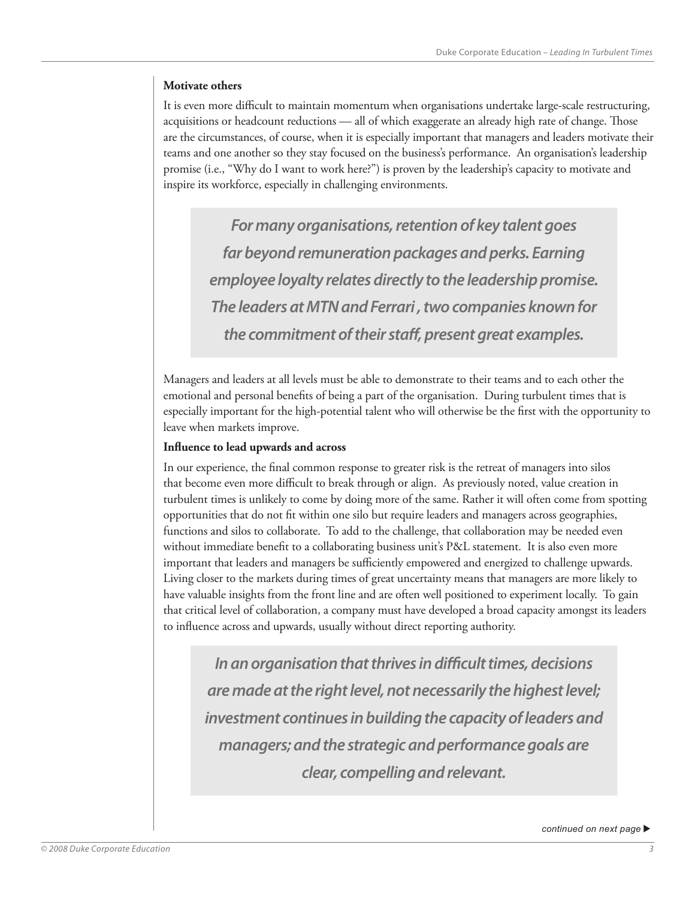#### **Motivate others**

It is even more difficult to maintain momentum when organisations undertake large-scale restructuring, acquisitions or headcount reductions — all of which exaggerate an already high rate of change. Those are the circumstances, of course, when it is especially important that managers and leaders motivate their teams and one another so they stay focused on the business's performance. An organisation's leadership promise (i.e., "Why do I want to work here?") is proven by the leadership's capacity to motivate and inspire its workforce, especially in challenging environments.

*For many organisations, retention of key talent goes far beyond remuneration packages and perks. Earning employee loyalty relates directly to the leadership promise. The leaders at MTN and Ferrari , two companies known for the commitment of their staff, present great examples.*

Managers and leaders at all levels must be able to demonstrate to their teams and to each other the emotional and personal benefits of being a part of the organisation. During turbulent times that is especially important for the high-potential talent who will otherwise be the first with the opportunity to leave when markets improve.

#### **Influence to lead upwards and across**

In our experience, the final common response to greater risk is the retreat of managers into silos that become even more difficult to break through or align. As previously noted, value creation in turbulent times is unlikely to come by doing more of the same. Rather it will often come from spotting opportunities that do not fit within one silo but require leaders and managers across geographies, functions and silos to collaborate. To add to the challenge, that collaboration may be needed even without immediate benefit to a collaborating business unit's P&L statement. It is also even more important that leaders and managers be sufficiently empowered and energized to challenge upwards. Living closer to the markets during times of great uncertainty means that managers are more likely to have valuable insights from the front line and are often well positioned to experiment locally. To gain that critical level of collaboration, a company must have developed a broad capacity amongst its leaders to influence across and upwards, usually without direct reporting authority.

*In an organisation that thrives in difficult times, decisions are made at the right level, not necessarily the highest level; investment continues in building the capacity of leaders and managers; and the strategic and performance goals are clear, compelling and relevant.*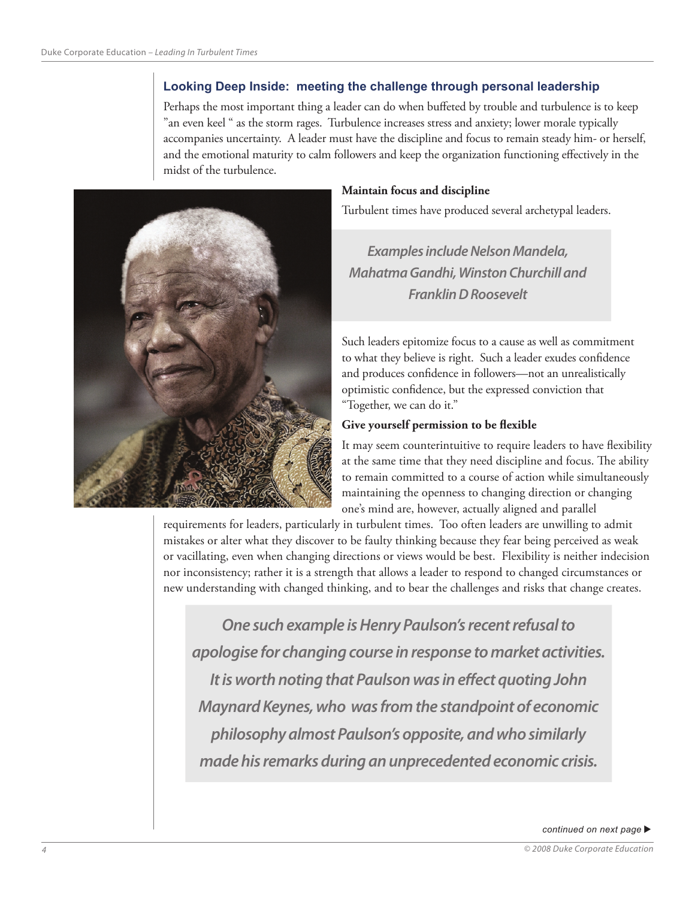# **Looking Deep Inside: meeting the challenge through personal leadership**

Perhaps the most important thing a leader can do when buffeted by trouble and turbulence is to keep "an even keel " as the storm rages. Turbulence increases stress and anxiety; lower morale typically accompanies uncertainty. A leader must have the discipline and focus to remain steady him- or herself, and the emotional maturity to calm followers and keep the organization functioning effectively in the midst of the turbulence.



#### **Maintain focus and discipline**

Turbulent times have produced several archetypal leaders.

*Examples include Nelson Mandela, Mahatma Gandhi, Winston Churchill and Franklin D Roosevelt*

Such leaders epitomize focus to a cause as well as commitment to what they believe is right. Such a leader exudes confidence and produces confidence in followers—not an unrealistically optimistic confidence, but the expressed conviction that "Together, we can do it."

#### **Give yourself permission to be flexible**

It may seem counterintuitive to require leaders to have flexibility at the same time that they need discipline and focus. The ability to remain committed to a course of action while simultaneously maintaining the openness to changing direction or changing one's mind are, however, actually aligned and parallel

requirements for leaders, particularly in turbulent times. Too often leaders are unwilling to admit mistakes or alter what they discover to be faulty thinking because they fear being perceived as weak or vacillating, even when changing directions or views would be best. Flexibility is neither indecision nor inconsistency; rather it is a strength that allows a leader to respond to changed circumstances or new understanding with changed thinking, and to bear the challenges and risks that change creates.

*One such example is Henry Paulson's recent refusal to apologise for changing course in response to market activities. It is worth noting that Paulson was in effect quoting John Maynard Keynes, who was from the standpoint of economic philosophy almost Paulson's opposite, and who similarly made his remarks during an unprecedented economic crisis.*